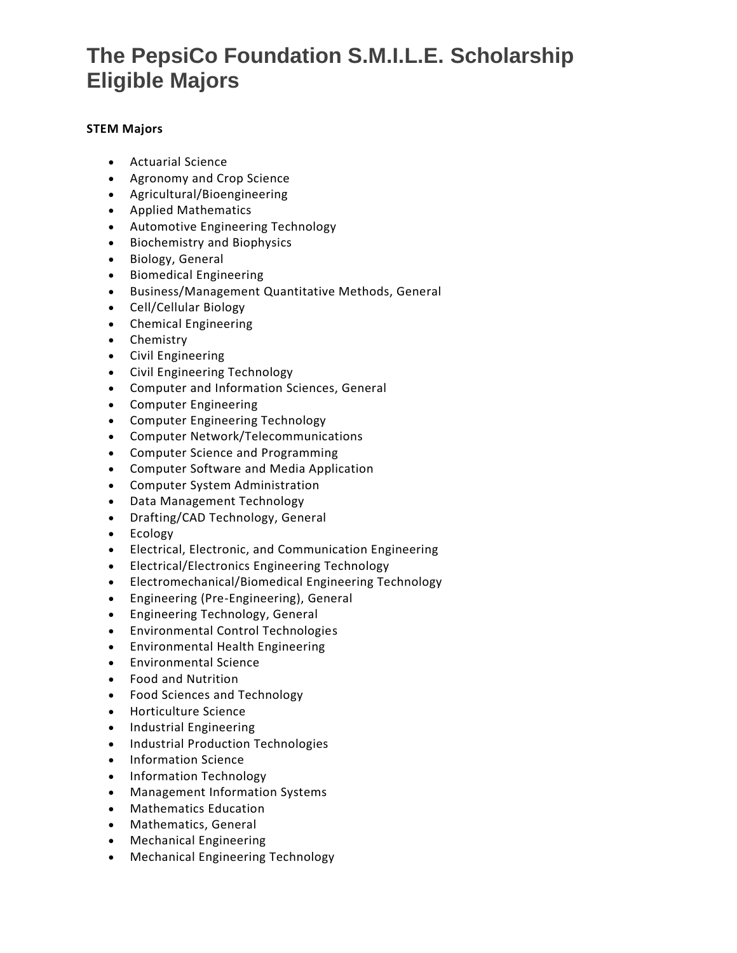# **The PepsiCo Foundation S.M.I.L.E. Scholarship Eligible Majors**

### **STEM Majors**

- Actuarial Science
- Agronomy and Crop Science
- Agricultural/Bioengineering
- Applied Mathematics
- Automotive Engineering Technology
- Biochemistry and Biophysics
- Biology, General
- Biomedical Engineering
- Business/Management Quantitative Methods, General
- Cell/Cellular Biology
- Chemical Engineering
- Chemistry
- Civil Engineering
- Civil Engineering Technology
- Computer and Information Sciences, General
- Computer Engineering
- Computer Engineering Technology
- Computer Network/Telecommunications
- Computer Science and Programming
- Computer Software and Media Application
- Computer System Administration
- Data Management Technology
- Drafting/CAD Technology, General
- Ecology
- Electrical, Electronic, and Communication Engineering
- Electrical/Electronics Engineering Technology
- Electromechanical/Biomedical Engineering Technology
- Engineering (Pre-Engineering), General
- Engineering Technology, General
- Environmental Control Technologies
- Environmental Health Engineering
- Environmental Science
- Food and Nutrition
- Food Sciences and Technology
- Horticulture Science
- Industrial Engineering
- Industrial Production Technologies
- Information Science
- Information Technology
- Management Information Systems
- Mathematics Education
- Mathematics, General
- Mechanical Engineering
- Mechanical Engineering Technology